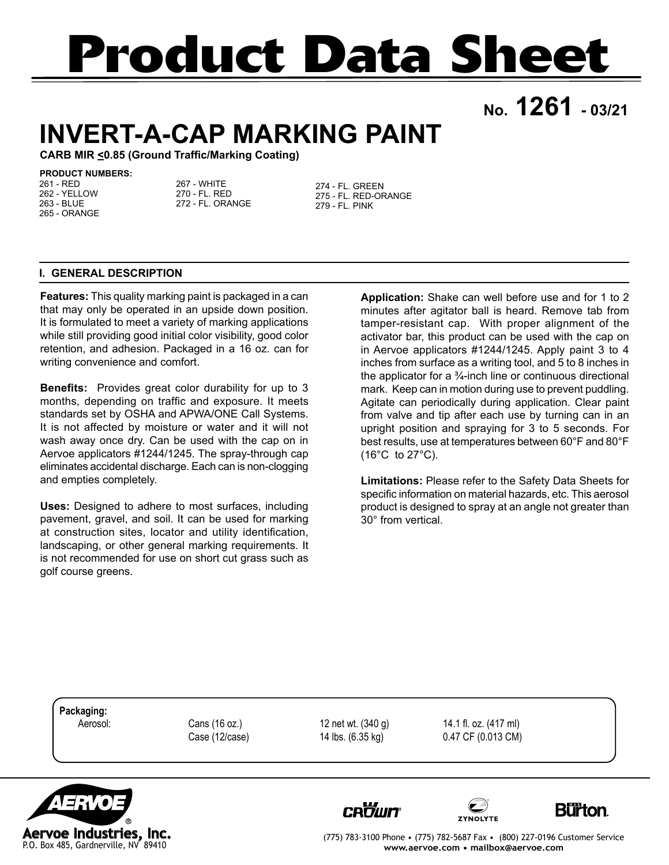# **Product Data Sheet**

**No. 1261 - 03/21**

# **INVERT-A-CAP MARKING PAINT**

**CARB MIR <0.85 (Ground Traffic/Marking Coating)**

#### **PRODUCT NUMBERS:**

261 - RED 262 - YELLOW 263 - BLUE 265 - ORANGE

267 - WHITE 270 - FL. RED 272 - FL. ORANGE 274 - FL. GREEN 275 - FL. RED-ORANGE 279 - FL. PINK

# **I. GENERAL DESCRIPTION**

**Features:** This quality marking paint is packaged in a can that may only be operated in an upside down position. It is formulated to meet a variety of marking applications while still providing good initial color visibility, good color retention, and adhesion. Packaged in a 16 oz. can for writing convenience and comfort.

**Benefits:** Provides great color durability for up to 3 months, depending on traffic and exposure. It meets standards set by OSHA and APWA/ONE Call Systems. It is not affected by moisture or water and it will not wash away once dry. Can be used with the cap on in Aervoe applicators #1244/1245. The spray-through cap eliminates accidental discharge. Each can is non-clogging and empties completely.

**Uses:** Designed to adhere to most surfaces, including pavement, gravel, and soil. It can be used for marking at construction sites, locator and utility identification, landscaping, or other general marking requirements. It is not recommended for use on short cut grass such as golf course greens.

**Application:** Shake can well before use and for 1 to 2 minutes after agitator ball is heard. Remove tab from tamper-resistant cap. With proper alignment of the activator bar, this product can be used with the cap on in Aervoe applicators #1244/1245. Apply paint 3 to 4 inches from surface as a writing tool, and 5 to 8 inches in the applicator for a  $\frac{3}{4}$ -inch line or continuous directional mark. Keep can in motion during use to prevent puddling. Agitate can periodically during application. Clear paint from valve and tip after each use by turning can in an upright position and spraying for 3 to 5 seconds. For best results, use at temperatures between 60°F and 80°F  $(16^{\circ}C \text{ to } 27^{\circ}C).$ 

**Limitations:** Please refer to the Safety Data Sheets for specific information on material hazards, etc. This aerosol product is designed to spray at an angle not greater than 30° from vertical.

**Packaging:**

Aerosol: Cans (16 oz.) 12 net wt. (340 g) 14.1 fl. oz. (417 ml) Case (12/case) 14 lbs. (6.35 kg) 0.47 CF (0.013 CM)









(775) 783-3100 Phone • (775) 782-5687 Fax • (800) 227-0196 Customer Service **www.aervoe.com • mailbox@aervoe.com**